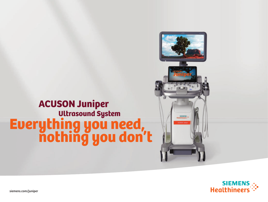# nothing you don't Everything you need, Ultrasound System ACUSON Juniper





siemens.com/juniper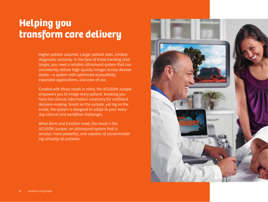## Helping you transform care delivery

Higher patient volumes. Larger patient sizes. Limited diagnostic certainty. In the face of these trending challenges, you need a reliable ultrasound system that can consistently deliver high-quality images across disease states—a system with optimized accessibility, expanded applications, and ease of use.

Created with these needs in mind, the ACUSON Juniper empowers you to image every patient, knowing you have the clinical information necessary for confident decision-making. Small on the outside, yet big on the inside, the system is designed to adapt to your everyday clinical and workflow challenges.

When form and function meet, the result is the ACUSON Juniper, an ultrasound system that is smaller, more powerful, and capable of accommodating virtually all patients.

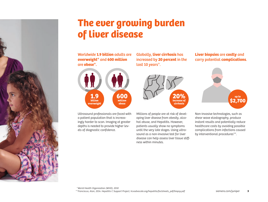

## The ever growing burden of liver disease

Worldwide **1.9 billion** adults are **overweight\*** and **600 million**  are **obese\*.**



Ultrasound professionals are faced with a patient population that is increasingly harder to scan. Imaging at greater depths is needed to provide higher levels of diagnostic confidence.

Globally, **liver cirrhosis** has increased by **20 percent** in the last 10 years\*.



Millions of people are at risk of developing liver disease from obesity, alcohol abuse, and Hepatitis. However, patients usually show no symptoms until the very late stages. Using ultrasound as a non-invasive test for liver disease can help assess liver tissue stiffness within minutes.

**Liver biopsies** are **costly** and carry potential **complications**.



Non-invasive technologies, such as shear wave elastography, produce instant results and potentially reduce healthcare costs by avoiding possible complications from infections caused by interventional procedures\*\*.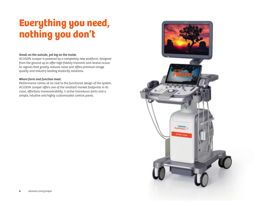## Everything you need, nothing you don't

### Small on the outside, yet big on the inside.

ACUSON Juniper is powered by a completely new platform, designed from the ground up to offer high-fidelity transmit and receive acoustic signals that greatly reduces noise and offers premium image quality and industry leading elasticity solutions.

### Where form and function meet.

Performance comes at no cost to the functional design of the system. ACUSON Juniper offers one of the smallest market footprints in its class, effortless maneuverability, 5 active transducer ports and a simple, intuitive and highly customizable control panel.

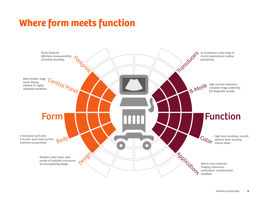## Where form meets function

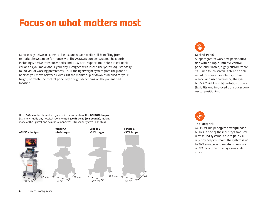## Focus on what matters most

Move easily between exams, patients, and spaces while still benefiting from remarkable system performance with the ACUSON Juniper system. The 6 ports, including 5 active transducer ports and 1 CW port, support multiple clinical applications as you move about your day. Designed with intent, the system adjusts easily to individual working preferences—pull the lightweight system from the front or back as you move between exams, tilt the monitor up or down as needed for your height, or rotate the control panel left or right depending on the patient bed location.

Up to **36% smaller** than other systems in the same class, the **ACUSON Juniper** fits into virtually any hospital room. Weighing **only 76 kg (168 pounds)**, making it one of the lightest and easiest to maneuver Ultrasound system in its class.





### Control Panel

Support greater workflow personalization with a simple, intuitive control panel and tiltable, highly customizable 13.3-inch touch screen. Able to be optimized for space availability, convenience, and user preference, the system's 90° right and left rotation allows flexibility and improved transducer connector positioning.



### The Footprint

ACUSON Juniper offers powerful capabilities in one of the industry's smallest ultrasound systems. Able to fit in virtually any hospital room, the system is up to 36% smaller and weighs an average of 27% less than other systems in its class.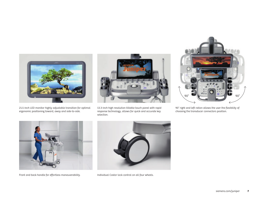

21.5-inch LED monitor highly adjustable transition for optimal ergonomic positioning toward, away and side-to-side.



13.3-inch high resolution tiltable touch panel with rapid response technology, allows for quick and accurate key selection.



90° right and left ration allows the user the flexibility of choosing the transducer connectors position.



Front and back handle for effortless maneuverability. Individual Castor lock control on all four wheels.

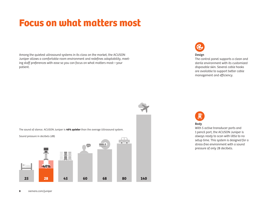## Focus on what matters most

Among the quietest ultrasound systems in its class on the market, the ACUSON Juniper allows a comfortable room environment and redefines adaptability, meeting staff preferences with ease so you can focus on what matters most—your patient.



### Design

The control panel supports a clean and sterile environment with its customized disposable skin. Several cable hooks are available to support better cable management and efficiency.





### Body

With 5 active transducer ports and 1 pencil port, the ACUSON Juniper is always ready to scan with little to no setup time. This system is designed for a stress-free environment with a sound pressure of only 28 decibels.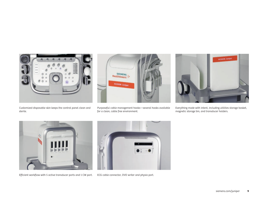

Customized disposable skin keeps the control panel clean and sterile.



Purposeful cable management hooks—several hooks available for a clean, cable free environment.



Everything made with intent, including utilities storage basket, magnetic storage bin, and transducer holders.



Efficient workflow with 5 active transducer ports and 1 CW port. ECG cable connector, DVD writer and physio port.

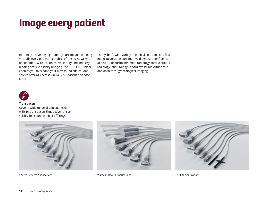## Image every patient

Routinely delivering high-quality care means scanning virtually every patient regardless of their size, weight, or condition. With its clinical versatility and industryleading tissue elasticity imaging, the ACUSON Juniper enables you to expand your ultrasound clinical and service offerings across virtually all patient and case types.

The system's wide variety of clinical solutions and fast image acquisition can improve diagnostic confidence across all departments, from radiology, interventional radiology, and urology to cardiovascular, orthopedic, and obstetrics/gynecological imaging.



#### **Transducers**

Cover a wide range of clinical needs with 16 transducers that deliver the versatility to expand clinical offerings.





Shared Services Applications Women's Health Applications Cardiac Applications

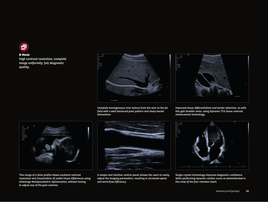

### **B-Mode**

High contrast resolution, complete image uniformity: full diagnostic quality.



Complete homogeneous liver texture from the near to the far field with a well-balanced pixel pattern and sharp border delineation.



Improved tissue differentiation and border detection, as with this gall bladder mass, using Dynamic TCE tissue contrast enhancement technology.



This image of a fetal profile shows excellent contrast resolution and visualization of subtle tissue differences using eSieImage Multiparametric Optimization, without having to adjust any of the gain controls.



A simple and intuitive control panel allows the users to easily adjust the imaging parameters, resulting in increased speed and work flow efficiency.



Single crystal technology improves diagnostic confidence while performing dynamic cardiac scans as demonstrated in this view of the four chamber heart.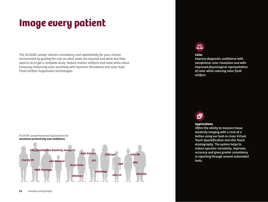## Image every patient

The ACUSON Juniper delivers consistency and repeatability for your clinical environment by guiding the user on what views are required and what else they need to do to get a complete study. Reduce motion artifacts and noise while simultaneously enhancing color sensitivity with Dynamic Persistence and color Auto Flash Artifact Suppression technologies.



### $\mathcal{L}$

### **Color**

Improve diagnostic confidence with exceptional color resolution and with improved physiological representation of color while reducing color flash artifact.

### 氚

### **Applications**

Offers the ability to measure tissue elasticity imaging with a click of a button using our best-in-class Virtual Touch Quantification and eSie Touch elastography. The system helps to reduce operator variability, improves accuracy and gives greater consistency in reporting through several automated tools.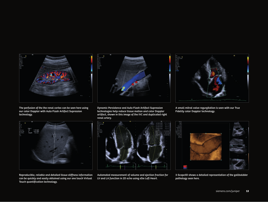

The perfusion of the the renal cortex can be seen here using our color Doppler with Auto Flash Artifact Supression technology.



Dynamic Persistence and Auto Flash Artifact Supression technologies help reduce tissue motion and color Doppler artifact, shown in this image of the IVC and duplicated right renal artery.



A small mitral valve regurgitation is seen with our True Fidelity color Doppler technology.



Reproducible, reliable and detailed tissue stiffness information can be quickly and easily obtained using our one touch Virtual Touch quantification technology.



Automated measurement of volume and ejection fraction for LV and LA function in 2D echo using eSie Left Heart.



3-Scape3D shows a detailed representation of the gallbaldder pathology seen here.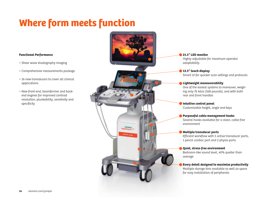## Where form meets function

### **Functional Performance**

- Shear wave elastography imaging
- Comprehensive measurements package
- 16 new transducers to cover all clinical applications
- New front-end, beamformer and back end engines for improved contrast resolution, plunkability, sensitivity and specificity



### **21.5" LED monitor**

Highly adjustable for maximum operator adaptability

**13.3" touch display** Smart UI for quicker scan settings and protocols

### **Lightweight maneuverability**

One of the easiest systems to maneuver, weighing only 76 kilos (168 pounds), and with both rear and front handles

**Intuitive control panel** Customizable height, angle and keys

### **Purposeful cable management hooks**

Several hooks available for a clean, cable free environment

### **Multiple transducer ports**

Efficient workflow with 5 active transducer ports, 1 pencil cardiac port and 2 physio ports

**Quiet, stress-free environment**

Bedroom-like sound level, 40% quieter than average

### **Every detail designed to maximize productivity**

Multiple storage bins available as well as space for easy installation of peripherals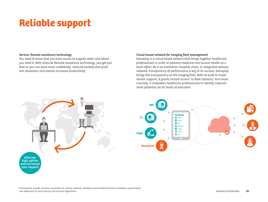# Reliable support

### Service: Remote assistance technology

You need to know that you have access to support when and where you need it. With eSieLink Remote Assistance technology, you get just that so you can work more confidently. eSieLink enables fast problem resolution and overall increased productivity.

### Cloud-based network for imaging fleet management

teamplay is a cloud-based network that brings together healthcare professionals in order to advance medicine and human health as a team effort. Be it an institution, hospital chain, or integrated delivery network, transparency of performance is key to its success. teamplay brings this transparency to the imaging fleet. With its built-in multivendor support, it grants instant access<sup>1</sup> to fleet statistics. And more crucially, it empowers healthcare professionals to identify improvement potential on all levels of execution.